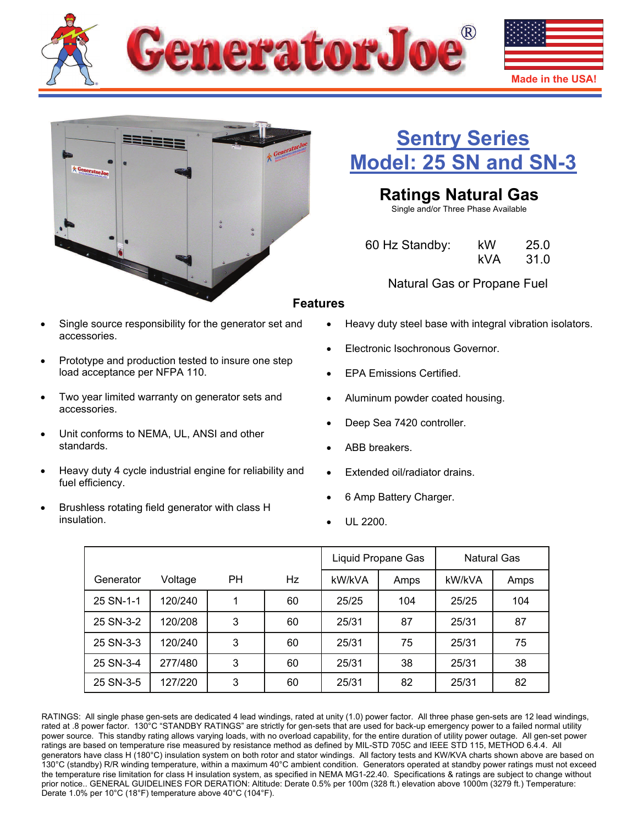



# **[Sentry Series](http://www.generatorjoe.net/product.asp?0=205&1=565&3=4353)  [Model: 25 SN and SN-3](http://www.generatorjoe.net/product.asp?0=205&1=565&3=4353)**

# **Ratings Natural Gas**

Single and/or Three Phase Available

| 60 Hz Standby: | kW  | 25.0 |
|----------------|-----|------|
|                | kVA | 31.0 |

Natural Gas or Propane Fuel

# **Features**

- Single source responsibility for the generator set and accessories.
- Prototype and production tested to insure one step load acceptance per NFPA 110.
- Two year limited warranty on generator sets and accessories.
- Unit conforms to NEMA, UL, ANSI and other standards.
- Heavy duty 4 cycle industrial engine for reliability and fuel efficiency.
- Brushless rotating field generator with class H insulation.
- Heavy duty steel base with integral vibration isolators.
- Electronic Isochronous Governor.
- EPA Emissions Certified.
- Aluminum powder coated housing.
- Deep Sea 7420 controller.
- ABB breakers.
- Extended oil/radiator drains.
- 6 Amp Battery Charger.
- UL 2200.

|           |         |    |    | Liquid Propane Gas |      | Natural Gas |      |
|-----------|---------|----|----|--------------------|------|-------------|------|
| Generator | Voltage | PH | Hz | kW/kVA             | Amps | kW/kVA      | Amps |
| 25 SN-1-1 | 120/240 |    | 60 | 25/25              | 104  | 25/25       | 104  |
| 25 SN-3-2 | 120/208 | 3  | 60 | 25/31              | 87   | 25/31       | 87   |
| 25 SN-3-3 | 120/240 | 3  | 60 | 25/31              | 75   | 25/31       | 75   |
| 25 SN-3-4 | 277/480 | 3  | 60 | 25/31              | 38   | 25/31       | 38   |
| 25 SN-3-5 | 127/220 | 3  | 60 | 25/31              | 82   | 25/31       | 82   |

RATINGS: All single phase gen-sets are dedicated 4 lead windings, rated at unity (1.0) power factor. All three phase gen-sets are 12 lead windings, rated at .8 power factor. 130°C "STANDBY RATINGS" are strictly for gen-sets that are used for back-up emergency power to a failed normal utility power source. This standby rating allows varying loads, with no overload capability, for the entire duration of utility power outage. All gen-set power ratings are based on temperature rise measured by resistance method as defined by MIL-STD 705C and IEEE STD 115, METHOD 6.4.4. All generators have class H (180°C) insulation system on both rotor and stator windings. All factory tests and KW/KVA charts shown above are based on 130°C (standby) R/R winding temperature, within a maximum 40°C ambient condition. Generators operated at standby power ratings must not exceed the temperature rise limitation for class H insulation system, as specified in NEMA MG1-22.40. Specifications & ratings are subject to change without prior notice.. GENERAL GUIDELINES FOR DERATION: Altitude: Derate 0.5% per 100m (328 ft.) elevation above 1000m (3279 ft.) Temperature: Derate 1.0% per 10°C (18°F) temperature above 40°C (104°F).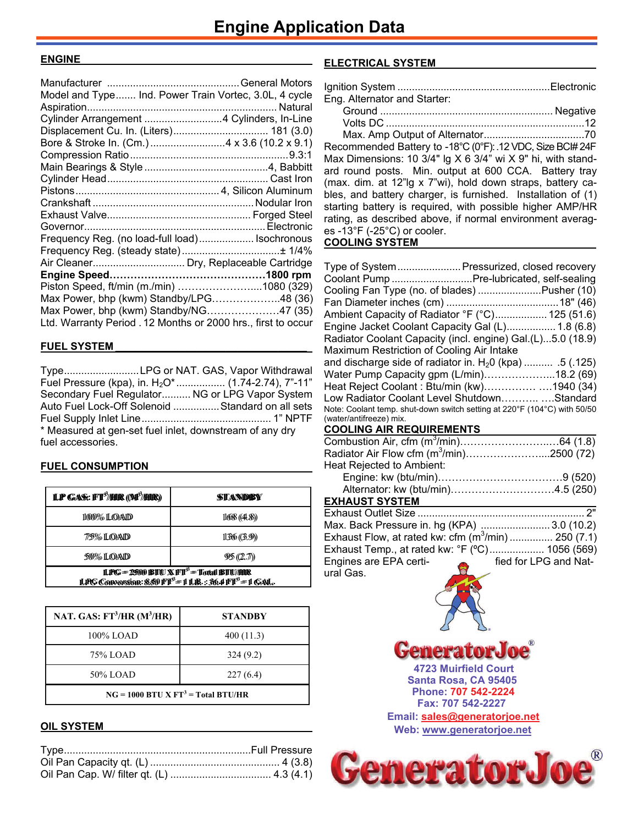### **ENGINE\_\_\_\_\_\_\_\_\_\_\_\_\_\_\_\_\_\_\_\_\_\_\_\_\_\_\_\_\_\_\_\_\_\_\_\_\_\_\_**

| Model and Type Ind. Power Train Vortec, 3.0L, 4 cycle         |  |
|---------------------------------------------------------------|--|
|                                                               |  |
| Cylinder Arrangement  4 Cylinders, In-Line                    |  |
| Displacement Cu. In. (Liters) 181 (3.0)                       |  |
|                                                               |  |
|                                                               |  |
|                                                               |  |
|                                                               |  |
|                                                               |  |
|                                                               |  |
|                                                               |  |
|                                                               |  |
| Frequency Reg. (no load-full load) Isochronous                |  |
|                                                               |  |
| Air Cleaner Dry, Replaceable Cartridge                        |  |
|                                                               |  |
| Piston Speed, ft/min (m./min) 1080 (329)                      |  |
| Max Power, bhp (kwm) Standby/LPG48 (36)                       |  |
| Max Power, bhp (kwm) Standby/NG47 (35)                        |  |
| Ltd. Warranty Period . 12 Months or 2000 hrs., first to occur |  |
|                                                               |  |

## **FUEL SYSTEM \_\_\_\_\_\_\_\_\_\_\_\_\_\_\_\_\_\_\_\_\_\_\_\_\_\_\_\_\_\_\_\_\_**

Type .......................... LPG or NAT. GAS, Vapor Withdrawal Fuel Pressure (kpa), in. H<sub>2</sub>O\* ................. (1.74-2.74), 7"-11" Secondary Fuel Regulator .......... NG or LPG Vapor System Auto Fuel Lock-Off Solenoid ................ Standard on all sets Fuel Supply Inlet Line ............................................. 1" NPTF \* Measured at gen-set fuel inlet, downstream of any dry fuel accessories.

## **FUEL CONSUMPTION**

| <b>LP GAS: FT<sup>3</sup>/HR (M<sup>3</sup>/HR)</b>                                                                             | STANDBY    |  |
|---------------------------------------------------------------------------------------------------------------------------------|------------|--|
| 11000% ILOAID                                                                                                                   | 1668(44.8) |  |
| 7/5% I.QAD                                                                                                                      | 136(3.9)   |  |
| 50% LOAD                                                                                                                        | 95(2.7)    |  |
| LPG = 2500 BTU X FT <sup>3</sup> = Total BTU/HR<br>LPG Conversion: $850$ FT <sup>3</sup> =1 LB.: $36.4$ FT <sup>3</sup> =1 GAL. |            |  |

| NAT. GAS: $FT^3/HR$ (M <sup>3</sup> /HR) | <b>STANDBY</b> |  |
|------------------------------------------|----------------|--|
| 100% LOAD                                | 400(11.3)      |  |
| 75% LOAD                                 | 324(9.2)       |  |
| 50% LOAD                                 | 227(6.4)       |  |
| $NG = 1000 BTU X FT3 = Total BTU/HR$     |                |  |

### **OIL SYSTEM**

## **ELECTRICAL SYSTEM \_\_\_\_\_\_\_\_\_\_\_\_\_\_\_\_\_\_\_\_\_\_\_\_\_\_**

| Eng. Alternator and Starter: |  |
|------------------------------|--|
|                              |  |

| May Amn Output of Alternator |  |
|------------------------------|--|

 Max. Amp Output of Alternator ...................................70 Recommended Battery to -18°C (0°F): . 12 VDC, Size BCI# 24F Max Dimensions: 10 3/4" lg X 6 3/4" wi X 9" hi, with standard round posts. Min. output at 600 CCA. Battery tray (max. dim. at 12"lg x 7"wi), hold down straps, battery cables, and battery charger, is furnished. Installation of (1) starting battery is required, with possible higher AMP/HR rating, as described above, if normal environment averages -13°F (-25°C) or cooler. **COOLING SYSTEM** 

| Type of System Pressurized, closed recovery                                                         |  |
|-----------------------------------------------------------------------------------------------------|--|
| Coolant Pump  Pre-lubricated, self-sealing                                                          |  |
| Cooling Fan Type (no. of blades) Pusher (10)                                                        |  |
|                                                                                                     |  |
| Ambient Capacity of Radiator °F (°C) 125 (51.6)                                                     |  |
| Engine Jacket Coolant Capacity Gal (L) 1.8 (6.8)                                                    |  |
| Radiator Coolant Capacity (incl. engine) Gal. (L)5.0 (18.9)                                         |  |
| Maximum Restriction of Cooling Air Intake                                                           |  |
| and discharge side of radiator in. $H_2$ 0 (kpa)  .5 (.125)                                         |  |
| Water Pump Capacity gpm (L/min)18.2 (69)                                                            |  |
| Heat Reject Coolant: Btu/min (kw)1940 (34)                                                          |  |
| Low Radiator Coolant Level ShutdownStandard                                                         |  |
| Note: Coolant temp. shut-down switch setting at 220°F (104°C) with 50/50<br>(water/antifreeze) mix. |  |

## **COOLING AIR REQUIREMENTS**

| Radiator Air Flow cfm $(m^3/min)$ 2500 (72) |  |
|---------------------------------------------|--|
| Heat Rejected to Ambient:                   |  |
|                                             |  |
| Alternator: kw (btu/min)4.5 (250)           |  |

### **EXHAUST SYSTEM**

| Max. Back Pressure in. hg (KPA) 3.0 (10.2)         |                       |
|----------------------------------------------------|-----------------------|
| Exhaust Flow, at rated kw: cfm $(m^3/m)$ 250 (7.1) |                       |
| Exhaust Temp., at rated kw: °F (°C) 1056 (569)     |                       |
| Engines are EPA certi-<br>$\approx$                | fied for LPG and Nat- |
| ural Gas.                                          |                       |



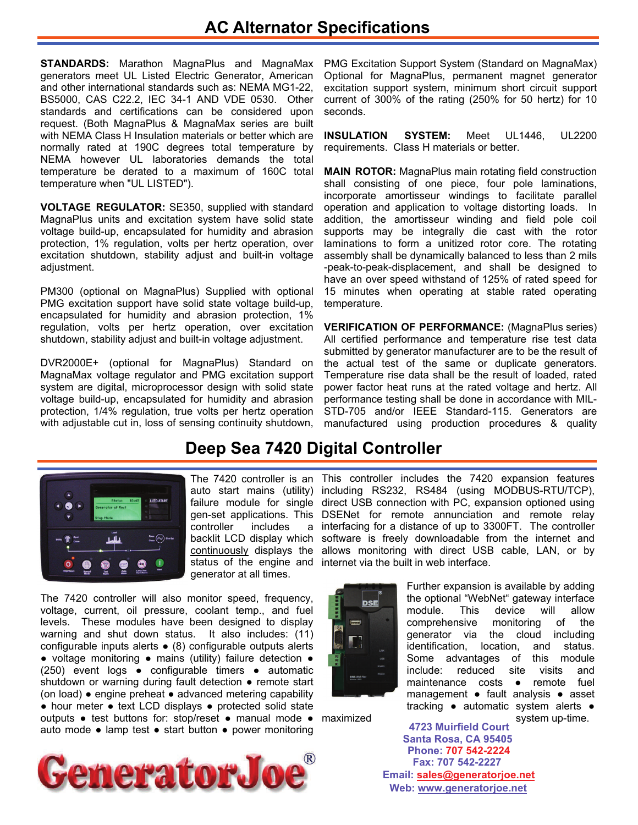# **AC Alternator Specifications**

**STANDARDS:** Marathon MagnaPlus and MagnaMax generators meet UL Listed Electric Generator, American and other international standards such as: NEMA MG1-22, BS5000, CAS C22.2, IEC 34-1 AND VDE 0530. Other standards and certifications can be considered upon request. (Both MagnaPlus & MagnaMax series are built with NEMA Class H Insulation materials or better which are normally rated at 190C degrees total temperature by NEMA however UL laboratories demands the total temperature be derated to a maximum of 160C total temperature when "UL LISTED").

**VOLTAGE REGULATOR:** SE350, supplied with standard MagnaPlus units and excitation system have solid state voltage build-up, encapsulated for humidity and abrasion protection, 1% regulation, volts per hertz operation, over excitation shutdown, stability adjust and built-in voltage adjustment.

PM300 (optional on MagnaPlus) Supplied with optional PMG excitation support have solid state voltage build-up, encapsulated for humidity and abrasion protection, 1% regulation, volts per hertz operation, over excitation shutdown, stability adjust and built-in voltage adjustment.

DVR2000E+ (optional for MagnaPlus) Standard on MagnaMax voltage regulator and PMG excitation support system are digital, microprocessor design with solid state voltage build-up, encapsulated for humidity and abrasion protection, 1/4% regulation, true volts per hertz operation with adjustable cut in, loss of sensing continuity shutdown,

PMG Excitation Support System (Standard on MagnaMax) Optional for MagnaPlus, permanent magnet generator excitation support system, minimum short circuit support current of 300% of the rating (250% for 50 hertz) for 10 seconds.

**INSULATION SYSTEM:** Meet UL1446, UL2200 requirements. Class H materials or better.

**MAIN ROTOR:** MagnaPlus main rotating field construction shall consisting of one piece, four pole laminations, incorporate amortisseur windings to facilitate parallel operation and application to voltage distorting loads. In addition, the amortisseur winding and field pole coil supports may be integrally die cast with the rotor laminations to form a unitized rotor core. The rotating assembly shall be dynamically balanced to less than 2 mils -peak-to-peak-displacement, and shall be designed to have an over speed withstand of 125% of rated speed for 15 minutes when operating at stable rated operating temperature.

**VERIFICATION OF PERFORMANCE:** (MagnaPlus series) All certified performance and temperature rise test data submitted by generator manufacturer are to be the result of the actual test of the same or duplicate generators. Temperature rise data shall be the result of loaded, rated power factor heat runs at the rated voltage and hertz. All performance testing shall be done in accordance with MIL-STD-705 and/or IEEE Standard-115. Generators are manufactured using production procedures & quality

# **Deep Sea 7420 Digital Controller**



controller includes backlit LCD display which generator at all times.

The 7420 controller will also monitor speed, frequency, voltage, current, oil pressure, coolant temp., and fuel levels. These modules have been designed to display warning and shut down status. It also includes: (11) configurable inputs alerts ● (8) configurable outputs alerts ● voltage monitoring ● mains (utility) failure detection ● (250) event logs ● configurable timers ● automatic shutdown or warning during fault detection • remote start (on load) ● engine preheat ● advanced metering capability ● hour meter ● text LCD displays ● protected solid state outputs • test buttons for: stop/reset • manual mode • maximized auto mode ● lamp test ● start button ● power monitoring **Santa Rosa, CA 95405** 



The 7420 controller is an This controller includes the 7420 expansion features auto start mains (utility) including RS232, RS484 (using MODBUS-RTU/TCP), failure module for single direct USB connection with PC, expansion optioned using gen-set applications. This DSENet for remote annunciation and remote relay a interfacing for a distance of up to 3300FT. The controller software is freely downloadable from the internet and continuously displays the allows monitoring with direct USB cable, LAN, or by status of the engine and internet via the built in web interface.



Further expansion is available by adding the optional "WebNet" gateway interface module. This device will allow comprehensive monitoring of the generator via the cloud including identification, location, and status. Some advantages of this module include: reduced site visits and maintenance costs ● remote fuel management ● fault analysis ● asset tracking ● automatic system alerts ●

system up-time. **4723 Muirfield Court Fax: 707 542-2227 Phone: 707 542-2224 Web: [www.generatorjoe.net](http://www.generatorjoe.net)  Email: [sales@generatorjoe.net](mailto:sales@generatorjoe.net?subject=Your%20products)**